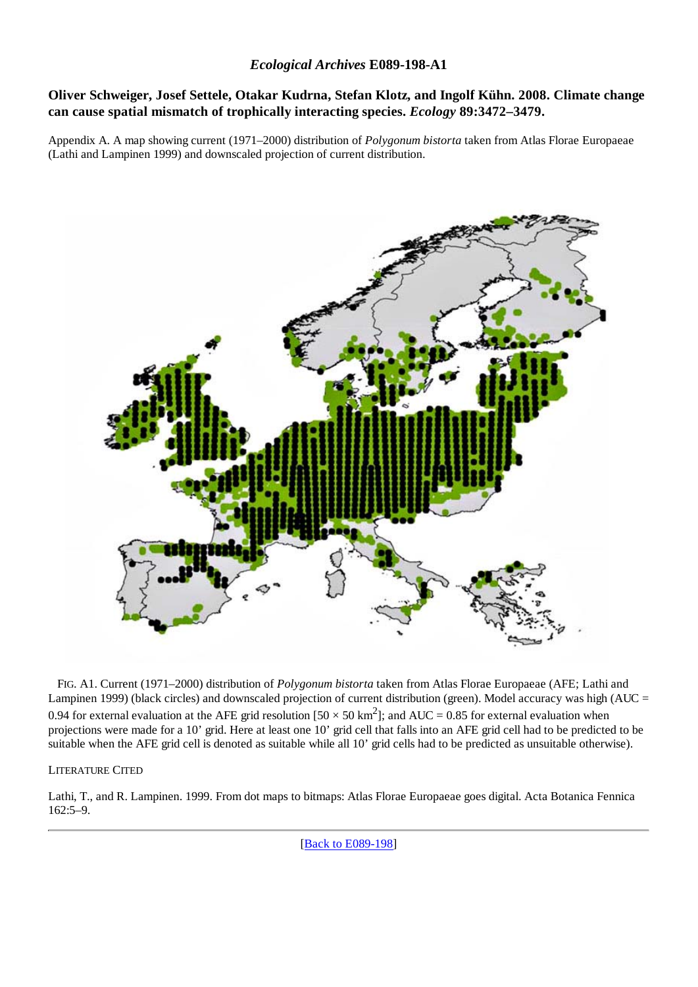## **Oliver Schweiger, Josef Settele, Otakar Kudrna, Stefan Klotz, and Ingolf Kühn. 2008. Climate change can cause spatial mismatch of trophically interacting species.** *Ecology* **89:3472–3479.**

Appendix A. A map showing current (1971–2000) distribution of *Polygonum bistorta* taken from Atlas Florae Europaeae (Lathi and Lampinen 1999) and downscaled projection of current distribution.



 FIG. A1. Current (1971–2000) distribution of *Polygonum bistorta* taken from Atlas Florae Europaeae (AFE; Lathi and Lampinen 1999) (black circles) and downscaled projection of current distribution (green). Model accuracy was high (AUC = 0.94 for external evaluation at the AFE grid resolution  $[50 \times 50 \text{ km}^2]$ ; and AUC = 0.85 for external evaluation when projections were made for a 10' grid. Here at least one 10' grid cell that falls into an AFE grid cell had to be predicted to be suitable when the AFE grid cell is denoted as suitable while all 10' grid cells had to be predicted as unsuitable otherwise).

#### LITERATURE CITED

Lathi, T., and R. Lampinen. 1999. From dot maps to bitmaps: Atlas Florae Europaeae goes digital. Acta Botanica Fennica 162:5–9.

[Back to E089-198]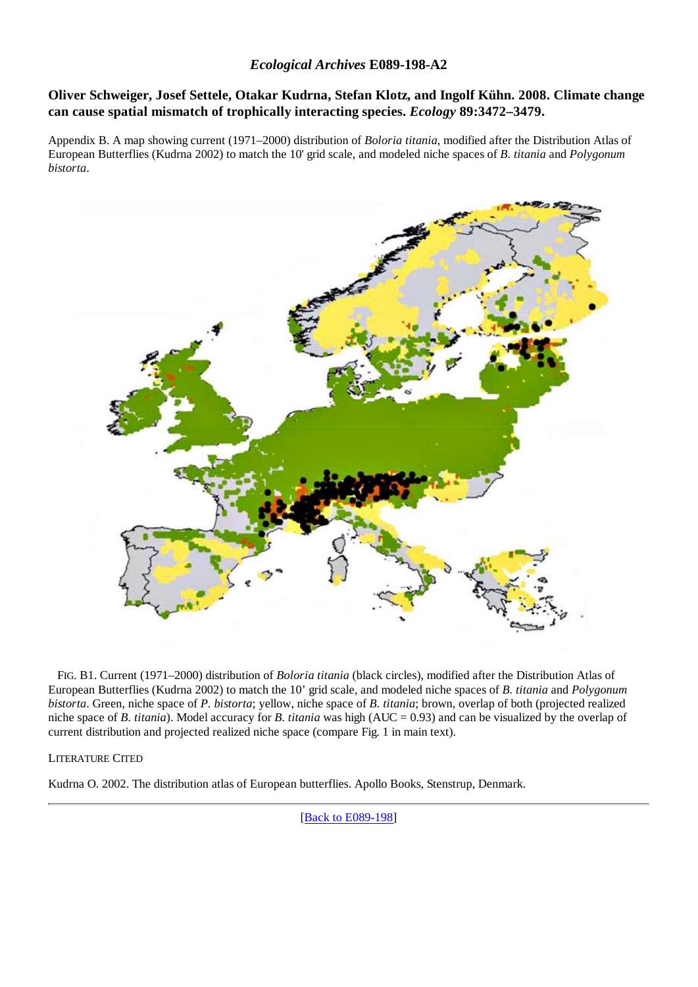## *Ecological Archives* **E089-198-A2**

## **Oliver Schweiger, Josef Settele, Otakar Kudrna, Stefan Klotz, and Ingolf Kühn. 2008. Climate change can cause spatial mismatch of trophically interacting species.** *Ecology* **89:3472–3479.**

Appendix B. A map showing current (1971–2000) distribution of *Boloria titania*, modified after the Distribution Atlas of European Butterflies (Kudrna 2002) to match the 10' grid scale, and modeled niche spaces of *B. titania* and *Polygonum bistorta*.



 FIG. B1. Current (1971–2000) distribution of *Boloria titania* (black circles), modified after the Distribution Atlas of European Butterflies (Kudrna 2002) to match the 10' grid scale, and modeled niche spaces of *B. titania* and *Polygonum bistorta*. Green, niche space of *P. bistorta*; yellow, niche space of *B. titania*; brown, overlap of both (projected realized niche space of *B. titania*). Model accuracy for *B. titania* was high (AUC = 0.93) and can be visualized by the overlap of current distribution and projected realized niche space (compare Fig. 1 in main text).

#### LITERATURE CITED

Kudrna O. 2002. The distribution atlas of European butterflies. Apollo Books, Stenstrup, Denmark.

[Back to E089-198]